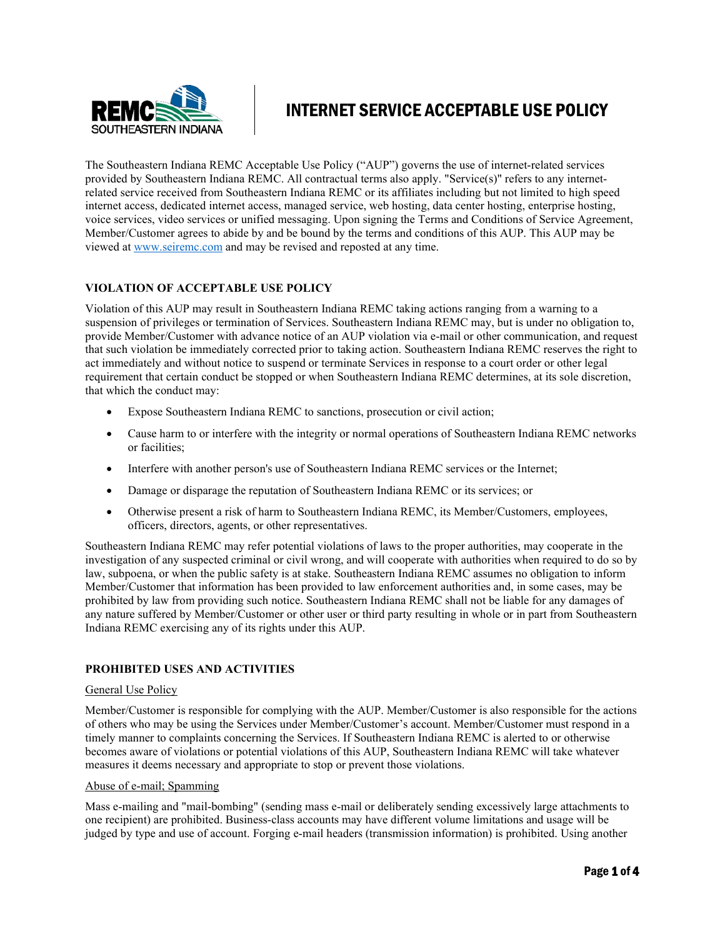

# INTERNET SERVICE ACCEPTABLE USE POLICY

The Southeastern Indiana REMC Acceptable Use Policy ("AUP") governs the use of internet‐related services provided by Southeastern Indiana REMC. All contractual terms also apply. "Service(s)" refers to any internet‐ related service received from Southeastern Indiana REMC or its affiliates including but not limited to high speed internet access, dedicated internet access, managed service, web hosting, data center hosting, enterprise hosting, voice services, video services or unified messaging. Upon signing the Terms and Conditions of Service Agreement, Member/Customer agrees to abide by and be bound by the terms and conditions of this AUP. This AUP may be viewed at [www.seiremc.com](http://www.seiremc.com/) and may be revised and reposted at any time.

## **VIOLATION OF ACCEPTABLE USE POLICY**

Violation of this AUP may result in Southeastern Indiana REMC taking actions ranging from a warning to a suspension of privileges or termination of Services. Southeastern Indiana REMC may, but is under no obligation to, provide Member/Customer with advance notice of an AUP violation via e‐mail or other communication, and request that such violation be immediately corrected prior to taking action. Southeastern Indiana REMC reserves the right to act immediately and without notice to suspend or terminate Services in response to a court order or other legal requirement that certain conduct be stopped or when Southeastern Indiana REMC determines, at its sole discretion, that which the conduct may:

- Expose Southeastern Indiana REMC to sanctions, prosecution or civil action;
- Cause harm to or interfere with the integrity or normal operations of Southeastern Indiana REMC networks or facilities;
- Interfere with another person's use of Southeastern Indiana REMC services or the Internet;
- Damage or disparage the reputation of Southeastern Indiana REMC or its services; or
- Otherwise present a risk of harm to Southeastern Indiana REMC, its Member/Customers, employees, officers, directors, agents, or other representatives.

Southeastern Indiana REMC may refer potential violations of laws to the proper authorities, may cooperate in the investigation of any suspected criminal or civil wrong, and will cooperate with authorities when required to do so by law, subpoena, or when the public safety is at stake. Southeastern Indiana REMC assumes no obligation to inform Member/Customer that information has been provided to law enforcement authorities and, in some cases, may be prohibited by law from providing such notice. Southeastern Indiana REMC shall not be liable for any damages of any nature suffered by Member/Customer or other user or third party resulting in whole or in part from Southeastern Indiana REMC exercising any of its rights under this AUP.

## **PROHIBITED USES AND ACTIVITIES**

### General Use Policy

Member/Customer is responsible for complying with the AUP. Member/Customer is also responsible for the actions of others who may be using the Services under Member/Customer's account. Member/Customer must respond in a timely manner to complaints concerning the Services. If Southeastern Indiana REMC is alerted to or otherwise becomes aware of violations or potential violations of this AUP, Southeastern Indiana REMC will take whatever measures it deems necessary and appropriate to stop or prevent those violations.

### Abuse of e‐mail; Spamming

Mass e-mailing and "mail-bombing" (sending mass e-mail or deliberately sending excessively large attachments to one recipient) are prohibited. Business‐class accounts may have different volume limitations and usage will be judged by type and use of account. Forging e‐mail headers (transmission information) is prohibited. Using another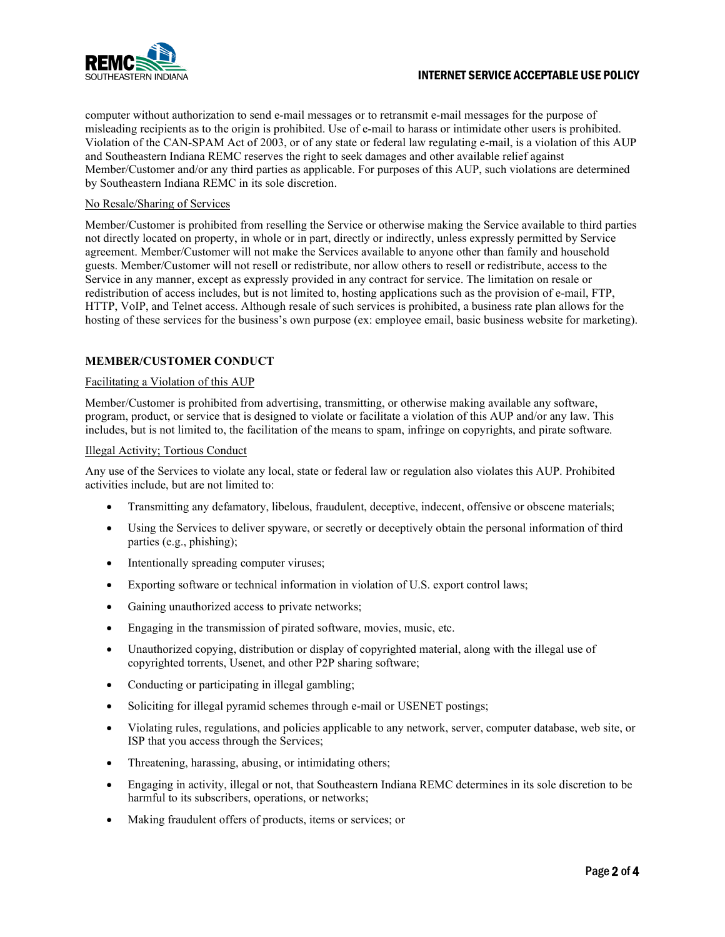

## INTERNET SERVICE ACCEPTABLE USE POLICY

computer without authorization to send e-mail messages or to retransmit e-mail messages for the purpose of misleading recipients as to the origin is prohibited. Use of e-mail to harass or intimidate other users is prohibited. Violation of the CAN‐SPAM Act of 2003, or of any state or federal law regulating e‐mail, is a violation of this AUP and Southeastern Indiana REMC reserves the right to seek damages and other available relief against Member/Customer and/or any third parties as applicable. For purposes of this AUP, such violations are determined by Southeastern Indiana REMC in its sole discretion.

## No Resale/Sharing of Services

Member/Customer is prohibited from reselling the Service or otherwise making the Service available to third parties not directly located on property, in whole or in part, directly or indirectly, unless expressly permitted by Service agreement. Member/Customer will not make the Services available to anyone other than family and household guests. Member/Customer will not resell or redistribute, nor allow others to resell or redistribute, access to the Service in any manner, except as expressly provided in any contract for service. The limitation on resale or redistribution of access includes, but is not limited to, hosting applications such as the provision of e‐mail, FTP, HTTP, VoIP, and Telnet access. Although resale of such services is prohibited, a business rate plan allows for the hosting of these services for the business's own purpose (ex: employee email, basic business website for marketing).

## **MEMBER/CUSTOMER CONDUCT**

## Facilitating a Violation of this AUP

Member/Customer is prohibited from advertising, transmitting, or otherwise making available any software, program, product, or service that is designed to violate or facilitate a violation of this AUP and/or any law. This includes, but is not limited to, the facilitation of the means to spam, infringe on copyrights, and pirate software.

### Illegal Activity; Tortious Conduct

Any use of the Services to violate any local, state or federal law or regulation also violates this AUP. Prohibited activities include, but are not limited to:

- Transmitting any defamatory, libelous, fraudulent, deceptive, indecent, offensive or obscene materials;
- Using the Services to deliver spyware, or secretly or deceptively obtain the personal information of third parties (e.g., phishing);
- Intentionally spreading computer viruses;
- Exporting software or technical information in violation of U.S. export control laws;
- Gaining unauthorized access to private networks;
- Engaging in the transmission of pirated software, movies, music, etc.
- Unauthorized copying, distribution or display of copyrighted material, along with the illegal use of copyrighted torrents, Usenet, and other P2P sharing software;
- Conducting or participating in illegal gambling;
- Soliciting for illegal pyramid schemes through e-mail or USENET postings;
- Violating rules, regulations, and policies applicable to any network, server, computer database, web site, or ISP that you access through the Services;
- Threatening, harassing, abusing, or intimidating others;
- Engaging in activity, illegal or not, that Southeastern Indiana REMC determines in its sole discretion to be harmful to its subscribers, operations, or networks;
- Making fraudulent offers of products, items or services; or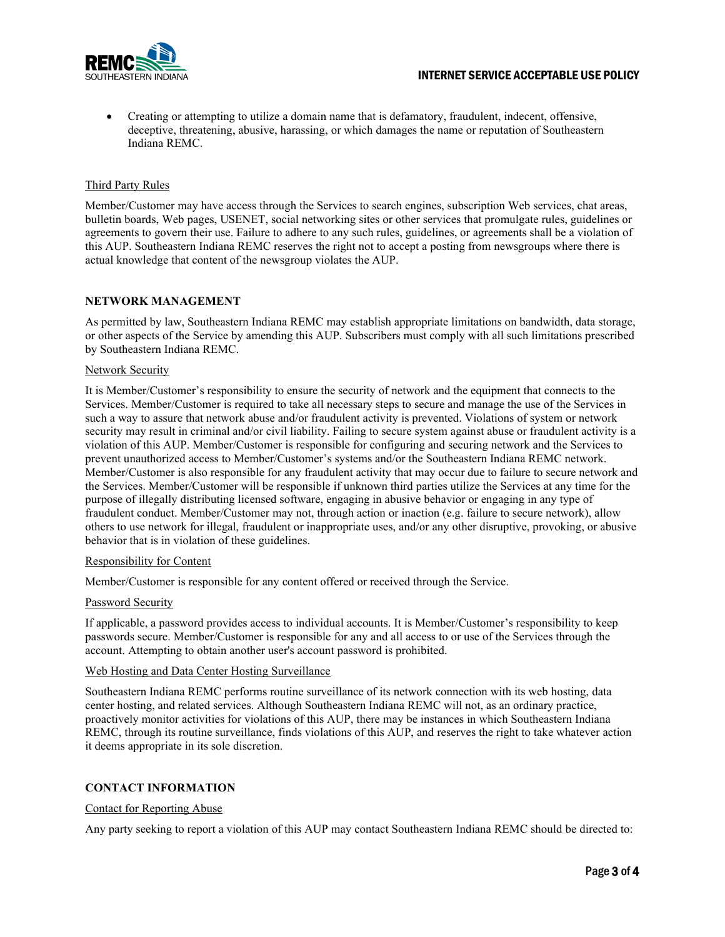

• Creating or attempting to utilize a domain name that is defamatory, fraudulent, indecent, offensive, deceptive, threatening, abusive, harassing, or which damages the name or reputation of Southeastern Indiana REMC.

## Third Party Rules

Member/Customer may have access through the Services to search engines, subscription Web services, chat areas, bulletin boards, Web pages, USENET, social networking sites or other services that promulgate rules, guidelines or agreements to govern their use. Failure to adhere to any such rules, guidelines, or agreements shall be a violation of this AUP. Southeastern Indiana REMC reserves the right not to accept a posting from newsgroups where there is actual knowledge that content of the newsgroup violates the AUP.

## **NETWORK MANAGEMENT**

As permitted by law, Southeastern Indiana REMC may establish appropriate limitations on bandwidth, data storage, or other aspects of the Service by amending this AUP. Subscribers must comply with all such limitations prescribed by Southeastern Indiana REMC.

## Network Security

It is Member/Customer's responsibility to ensure the security of network and the equipment that connects to the Services. Member/Customer is required to take all necessary steps to secure and manage the use of the Services in such a way to assure that network abuse and/or fraudulent activity is prevented. Violations of system or network security may result in criminal and/or civil liability. Failing to secure system against abuse or fraudulent activity is a violation of this AUP. Member/Customer is responsible for configuring and securing network and the Services to prevent unauthorized access to Member/Customer's systems and/or the Southeastern Indiana REMC network. Member/Customer is also responsible for any fraudulent activity that may occur due to failure to secure network and the Services. Member/Customer will be responsible if unknown third parties utilize the Services at any time for the purpose of illegally distributing licensed software, engaging in abusive behavior or engaging in any type of fraudulent conduct. Member/Customer may not, through action or inaction (e.g. failure to secure network), allow others to use network for illegal, fraudulent or inappropriate uses, and/or any other disruptive, provoking, or abusive behavior that is in violation of these guidelines.

### Responsibility for Content

Member/Customer is responsible for any content offered or received through the Service.

### Password Security

If applicable, a password provides access to individual accounts. It is Member/Customer's responsibility to keep passwords secure. Member/Customer is responsible for any and all access to or use of the Services through the account. Attempting to obtain another user's account password is prohibited.

#### Web Hosting and Data Center Hosting Surveillance

Southeastern Indiana REMC performs routine surveillance of its network connection with its web hosting, data center hosting, and related services. Although Southeastern Indiana REMC will not, as an ordinary practice, proactively monitor activities for violations of this AUP, there may be instances in which Southeastern Indiana REMC, through its routine surveillance, finds violations of this AUP, and reserves the right to take whatever action it deems appropriate in its sole discretion.

## **CONTACT INFORMATION**

### Contact for Reporting Abuse

Any party seeking to report a violation of this AUP may contact Southeastern Indiana REMC should be directed to: